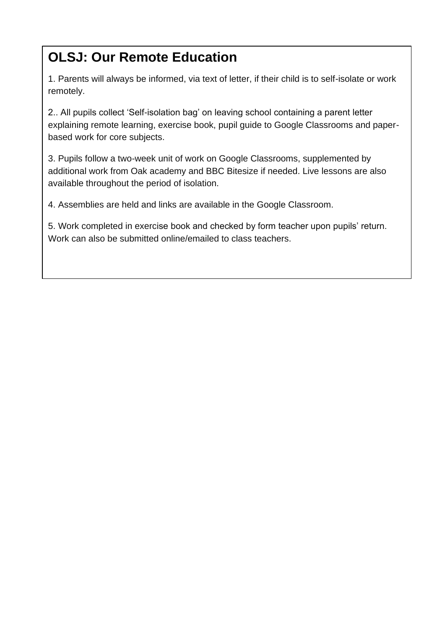# **OLSJ: Our Remote Education**

1. Parents will always be informed, via text of letter, if their child is to self-isolate or work remotely.

2.. All pupils collect 'Self-isolation bag' on leaving school containing a parent letter explaining remote learning, exercise book, pupil guide to Google Classrooms and paperbased work for core subjects.

3. Pupils follow a two-week unit of work on Google Classrooms, supplemented by additional work from Oak academy and BBC Bitesize if needed. Live lessons are also available throughout the period of isolation.

4. Assemblies are held and links are available in the Google Classroom.

5. Work completed in exercise book and checked by form teacher upon pupils' return. Work can also be submitted online/emailed to class teachers.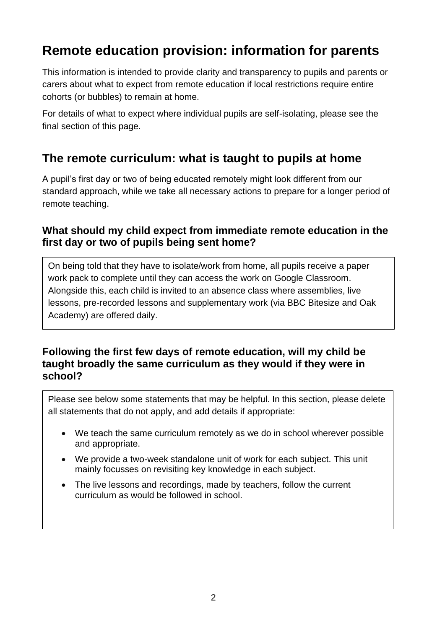# **Remote education provision: information for parents**

This information is intended to provide clarity and transparency to pupils and parents or carers about what to expect from remote education if local restrictions require entire cohorts (or bubbles) to remain at home.

For details of what to expect where individual pupils are self-isolating, please see the final section of this page.

# **The remote curriculum: what is taught to pupils at home**

A pupil's first day or two of being educated remotely might look different from our standard approach, while we take all necessary actions to prepare for a longer period of remote teaching.

#### **What should my child expect from immediate remote education in the first day or two of pupils being sent home?**

On being told that they have to isolate/work from home, all pupils receive a paper work pack to complete until they can access the work on Google Classroom. Alongside this, each child is invited to an absence class where assemblies, live lessons, pre-recorded lessons and supplementary work (via BBC Bitesize and Oak Academy) are offered daily.

#### **Following the first few days of remote education, will my child be taught broadly the same curriculum as they would if they were in school?**

Please see below some statements that may be helpful. In this section, please delete all statements that do not apply, and add details if appropriate:

- We teach the same curriculum remotely as we do in school wherever possible and appropriate.
- We provide a two-week standalone unit of work for each subject. This unit mainly focusses on revisiting key knowledge in each subject.
- The live lessons and recordings, made by teachers, follow the current curriculum as would be followed in school.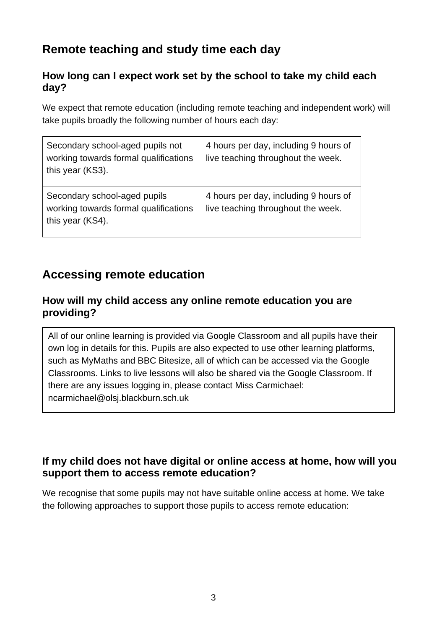# **Remote teaching and study time each day**

## **How long can I expect work set by the school to take my child each day?**

We expect that remote education (including remote teaching and independent work) will take pupils broadly the following number of hours each day:

| Secondary school-aged pupils not<br>working towards formal qualifications<br>this year (KS3). | 4 hours per day, including 9 hours of<br>live teaching throughout the week. |
|-----------------------------------------------------------------------------------------------|-----------------------------------------------------------------------------|
| Secondary school-aged pupils<br>working towards formal qualifications<br>this year (KS4).     | 4 hours per day, including 9 hours of<br>live teaching throughout the week. |

# **Accessing remote education**

## **How will my child access any online remote education you are providing?**

All of our online learning is provided via Google Classroom and all pupils have their own log in details for this. Pupils are also expected to use other learning platforms, such as MyMaths and BBC Bitesize, all of which can be accessed via the Google Classrooms. Links to live lessons will also be shared via the Google Classroom. If there are any issues logging in, please contact Miss Carmichael: ncarmichael@olsj.blackburn.sch.uk

### **If my child does not have digital or online access at home, how will you support them to access remote education?**

We recognise that some pupils may not have suitable online access at home. We take the following approaches to support those pupils to access remote education: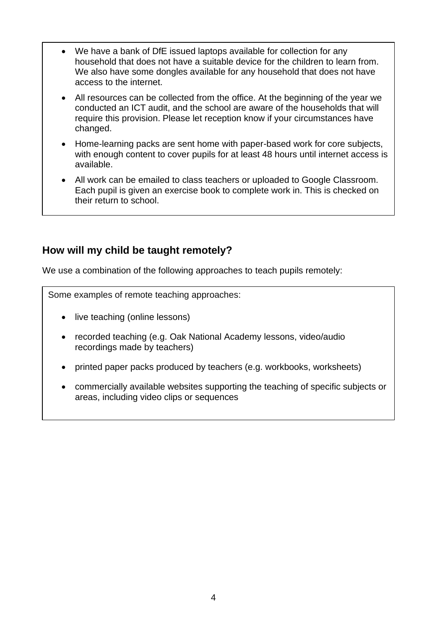- We have a bank of DfE issued laptops available for collection for any household that does not have a suitable device for the children to learn from. We also have some dongles available for any household that does not have access to the internet.
- All resources can be collected from the office. At the beginning of the year we conducted an ICT audit, and the school are aware of the households that will require this provision. Please let reception know if your circumstances have changed.
- Home-learning packs are sent home with paper-based work for core subjects, with enough content to cover pupils for at least 48 hours until internet access is available.
- All work can be emailed to class teachers or uploaded to Google Classroom. Each pupil is given an exercise book to complete work in. This is checked on their return to school.

# **How will my child be taught remotely?**

We use a combination of the following approaches to teach pupils remotely:

Some examples of remote teaching approaches:

- live teaching (online lessons)
- recorded teaching (e.g. Oak National Academy lessons, video/audio recordings made by teachers)
- printed paper packs produced by teachers (e.g. workbooks, worksheets)
- commercially available websites supporting the teaching of specific subjects or areas, including video clips or sequences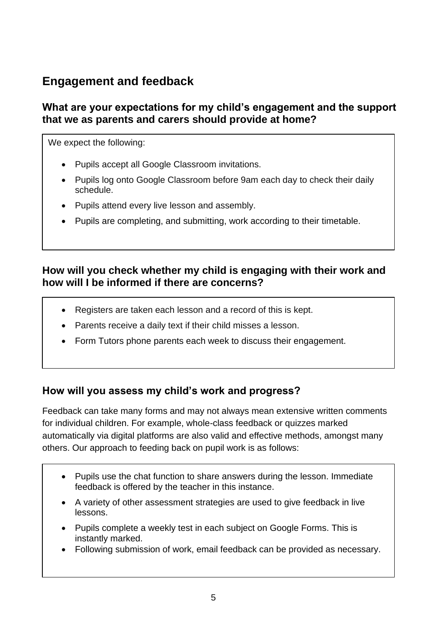# **Engagement and feedback**

## **What are your expectations for my child's engagement and the support that we as parents and carers should provide at home?**

We expect the following:

- Pupils accept all Google Classroom invitations.
- Pupils log onto Google Classroom before 9am each day to check their daily schedule.
- Pupils attend every live lesson and assembly.
- Pupils are completing, and submitting, work according to their timetable.

## **How will you check whether my child is engaging with their work and how will I be informed if there are concerns?**

- Registers are taken each lesson and a record of this is kept.
- Parents receive a daily text if their child misses a lesson.
- Form Tutors phone parents each week to discuss their engagement.

### **How will you assess my child's work and progress?**

Feedback can take many forms and may not always mean extensive written comments for individual children. For example, whole-class feedback or quizzes marked automatically via digital platforms are also valid and effective methods, amongst many others. Our approach to feeding back on pupil work is as follows:

- Pupils use the chat function to share answers during the lesson. Immediate feedback is offered by the teacher in this instance.
- A variety of other assessment strategies are used to give feedback in live lessons.
- Pupils complete a weekly test in each subiect on Google Forms. This is instantly marked.
- Following submission of work, email feedback can be provided as necessary.